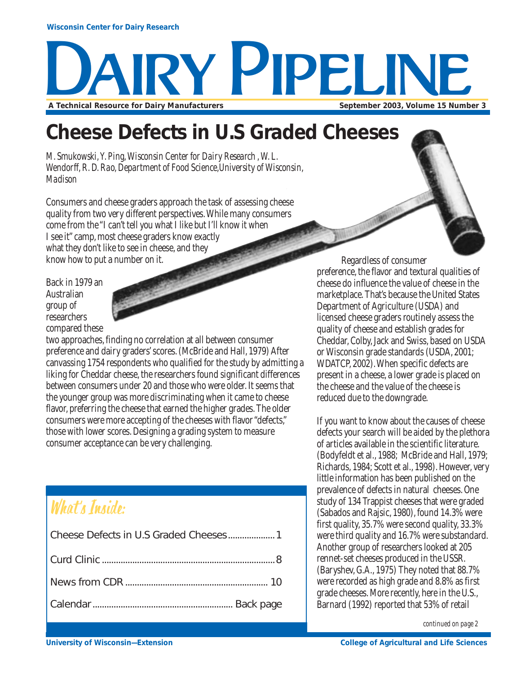# AIRY PIPELINE A Technical Resource for Dairy Manufacturers **September 2003, Volume 15 Number 3** September 2003, Volume 15 Number 3

## **Cheese Defects in U.S Graded Cheeses**

*M. Smukowski, Y. Ping, Wisconsin Center for Dairy Research , W. L. Wendorff, R. D. Rao, Department of Food Science,University of Wisconsin, Madison*

Consumers and cheese graders approach the task of assessing cheese quality from two very different perspectives. While many consumers come from the "I can't tell you what I like but I'll know it when I see it" camp, most cheese graders know exactly what they don't like to see in cheese, and they know how to put a number on it.

Back in 1979 an Australian group of researchers compared these

two approaches, finding no correlation at all between consumer preference and dairy graders' scores. (McBride and Hall, 1979) After canvassing 1754 respondents who qualified for the study by admitting a liking for Cheddar cheese, the researchers found significant differences between consumers under 20 and those who were older. It seems that the younger group was more discriminating when it came to cheese flavor, preferring the cheese that earned the higher grades. The older consumers were more accepting of the cheeses with flavor "defects," those with lower scores. Designing a grading system to measure consumer acceptance can be very challenging.

## What's Inside:

Regardless of consumer preference, the flavor and textural qualities of cheese do influence the value of cheese in the marketplace. That's because the United States Department of Agriculture (USDA) and licensed cheese graders routinely assess the quality of cheese and establish grades for Cheddar, Colby, Jack and Swiss, based on USDA or Wisconsin grade standards (USDA, 2001; WDATCP, 2002). When specific defects are present in a cheese, a lower grade is placed on the cheese and the value of the cheese is reduced due to the downgrade.

If you want to know about the causes of cheese defects your search will be aided by the plethora of articles available in the scientific literature. (Bodyfeldt et al., 1988; McBride and Hall, 1979; Richards, 1984; Scott et al., 1998). However, very little information has been published on the prevalence of defects in natural cheeses. One study of 134 Trappist cheeses that were graded (Sabados and Rajsic, 1980), found 14.3% were first quality, 35.7% were second quality, 33.3% were third quality and 16.7% were substandard. Another group of researchers looked at 205 rennet-set cheeses produced in the USSR. (Baryshev, G.A., 1975) They noted that 88.7% were recorded as high grade and 8.8% as first grade cheeses. More recently, here in the U.S., Barnard (1992) reported that 53% of retail

*continued on page 2*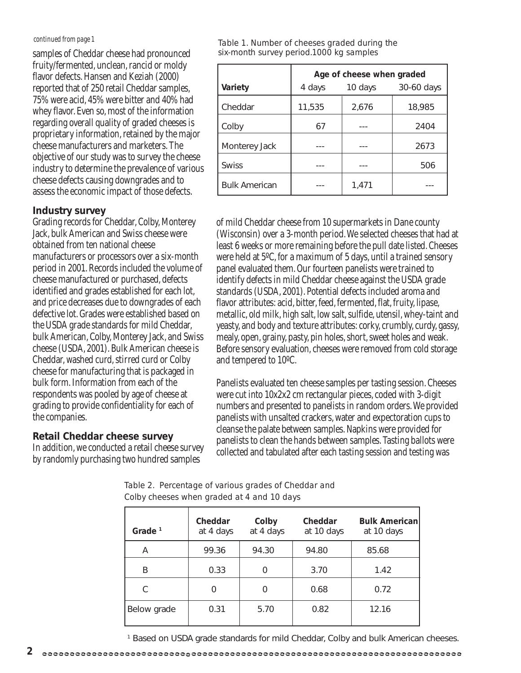#### *continued from page 1*

samples of Cheddar cheese had pronounced fruity/fermented, unclean, rancid or moldy flavor defects. Hansen and Keziah (2000) reported that of 250 retail Cheddar samples, 75% were acid, 45% were bitter and 40% had whey flavor. Even so, most of the information regarding overall quality of graded cheeses is proprietary information, retained by the major cheese manufacturers and marketers. The objective of our study was to survey the cheese industry to determine the prevalence of various cheese defects causing downgrades and to assess the economic impact of those defects.

### **Industry survey**

Grading records for Cheddar, Colby, Monterey Jack, bulk American and Swiss cheese were obtained from ten national cheese manufacturers or processors over a six-month period in 2001. Records included the volume of cheese manufactured or purchased, defects identified and grades established for each lot, and price decreases due to downgrades of each defective lot. Grades were established based on the USDA grade standards for mild Cheddar, bulk American, Colby, Monterey Jack, and Swiss cheese (USDA, 2001). Bulk American cheese is Cheddar, washed curd, stirred curd or Colby cheese for manufacturing that is packaged in bulk form. Information from each of the respondents was pooled by age of cheese at grading to provide confidentiality for each of the companies.

### **Retail Cheddar cheese survey**

In addition, we conducted a retail cheese survey by randomly purchasing two hundred samples

*Table 1. Number of cheeses graded during the six-month survey period.1000 kg samples*

|                      | Age of cheese when graded |         |            |
|----------------------|---------------------------|---------|------------|
| Variety              | 4 days                    | 10 days | 30-60 days |
| Cheddar              | 11,535                    | 2,676   | 18,985     |
| Colby                | 67                        |         | 2404       |
| Monterey Jack        |                           |         | 2673       |
| <b>Swiss</b>         |                           |         | 506        |
| <b>Bulk American</b> |                           | 1,471   |            |

of mild Cheddar cheese from 10 supermarkets in Dane county (Wisconsin) over a 3-month period. We selected cheeses that had at least 6 weeks or more remaining before the pull date listed. Cheeses were held at 5ºC, for a maximum of 5 days, until a trained sensory panel evaluated them. Our fourteen panelists were trained to identify defects in mild Cheddar cheese against the USDA grade standards (USDA, 2001). Potential defects included aroma and flavor attributes: acid, bitter, feed, fermented, flat, fruity, lipase, metallic, old milk, high salt, low salt, sulfide, utensil, whey-taint and yeasty, and body and texture attributes: corky, crumbly, curdy, gassy, mealy, open, grainy, pasty, pin holes, short, sweet holes and weak. Before sensory evaluation, cheeses were removed from cold storage and tempered to 10ºC.

Panelists evaluated ten cheese samples per tasting session. Cheeses were cut into 10x2x2 cm rectangular pieces, coded with 3-digit numbers and presented to panelists in random orders. We provided panelists with unsalted crackers, water and expectoration cups to cleanse the palate between samples. Napkins were provided for panelists to clean the hands between samples. Tasting ballots were collected and tabulated after each tasting session and testing was

*Table 2. Percentage of various grades of Cheddar and Colby cheeses when graded at 4 and 10 days*

| Grade $1$   | Cheddar<br>at 4 days | Colby<br>at 4 days | Cheddar<br>at 10 days | <b>Bulk American</b><br>at 10 days |
|-------------|----------------------|--------------------|-----------------------|------------------------------------|
| Α           | 99.36                | 94.30              | 94.80                 | 85.68                              |
| B           | 0.33                 | 0                  | 3.70                  | 1.42                               |
| C           | 0                    |                    | 0.68                  | 0.72                               |
| Below grade | 0.31                 | 5.70               | 0.82                  | 12.16                              |

1 Based on USDA grade standards for mild Cheddar, Colby and bulk American cheeses.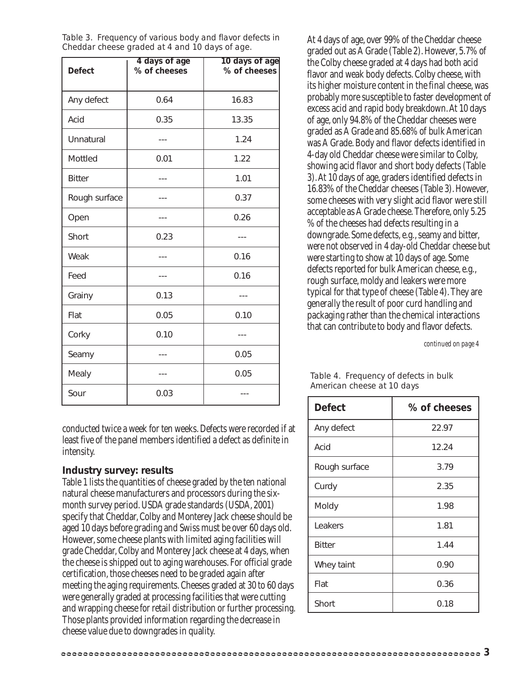| <b>Defect</b> | 4 days of age<br>% of cheeses | 10 days of age<br>% of cheeses |
|---------------|-------------------------------|--------------------------------|
|               |                               |                                |
| Any defect    | 0.64                          | 16.83                          |
| Acid          | 0.35                          | 13.35                          |
| Unnatural     |                               | 1.24                           |
| Mottled       | 0.01                          | 1.22                           |
| <b>Bitter</b> |                               | 1.01                           |
| Rough surface |                               | 0.37                           |
| Open          |                               | 0.26                           |
| Short         | 0.23                          |                                |
| Weak          |                               | 0.16                           |
| Feed          |                               | 0.16                           |
| Grainy        | 0.13                          |                                |
| Flat          | 0.05                          | 0.10                           |
| Corky         | 0.10                          |                                |
| Seamy         |                               | 0.05                           |
| Mealy         |                               | 0.05                           |
| Sour          | 0.03                          |                                |

*Table 3. Frequency of various body and flavor defects in Cheddar cheese graded at 4 and 10 days of age.*

conducted twice a week for ten weeks. Defects were recorded if at least five of the panel members identified a defect as definite in intensity.

### **Industry survey: results**

Table 1 lists the quantities of cheese graded by the ten national natural cheese manufacturers and processors during the sixmonth survey period. USDA grade standards (USDA, 2001) specify that Cheddar, Colby and Monterey Jack cheese should be aged 10 days before grading and Swiss must be over 60 days old. However, some cheese plants with limited aging facilities will grade Cheddar, Colby and Monterey Jack cheese at 4 days, when the cheese is shipped out to aging warehouses. For official grade certification, those cheeses need to be graded again after meeting the aging requirements. Cheeses graded at 30 to 60 days were generally graded at processing facilities that were cutting and wrapping cheese for retail distribution or further processing. Those plants provided information regarding the decrease in cheese value due to downgrades in quality.

At 4 days of age, over 99% of the Cheddar cheese graded out as A Grade (Table 2). However, 5.7% of the Colby cheese graded at 4 days had both acid flavor and weak body defects. Colby cheese, with its higher moisture content in the final cheese, was probably more susceptible to faster development of excess acid and rapid body breakdown. At 10 days of age, only 94.8% of the Cheddar cheeses were graded as A Grade and 85.68% of bulk American was A Grade. Body and flavor defects identified in 4-day old Cheddar cheese were similar to Colby, showing acid flavor and short body defects (Table 3). At 10 days of age, graders identified defects in 16.83% of the Cheddar cheeses (Table 3). However, some cheeses with very slight acid flavor were still acceptable as A Grade cheese. Therefore, only 5.25 % of the cheeses had defects resulting in a downgrade. Some defects, e.g., seamy and bitter, were not observed in 4 day-old Cheddar cheese but were starting to show at 10 days of age. Some defects reported for bulk American cheese, e.g., rough surface, moldy and leakers were more typical for that type of cheese (Table 4). They are generally the result of poor curd handling and packaging rather than the chemical interactions that can contribute to body and flavor defects.

*continued on page 4*

### *Table 4. Frequency of defects in bulk American cheese at 10 days*

| <b>Defect</b> | % of cheeses |
|---------------|--------------|
| Any defect    | 22.97        |
| Acid          | 12.24        |
| Rough surface | 3.79         |
| Curdy         | 2.35         |
| Moldy         | 1.98         |
| Leakers       | 1.81         |
| <b>Bitter</b> | 1.44         |
| Whey taint    | 0.90         |
| Flat          | 0.36         |
| Short         | 0.18         |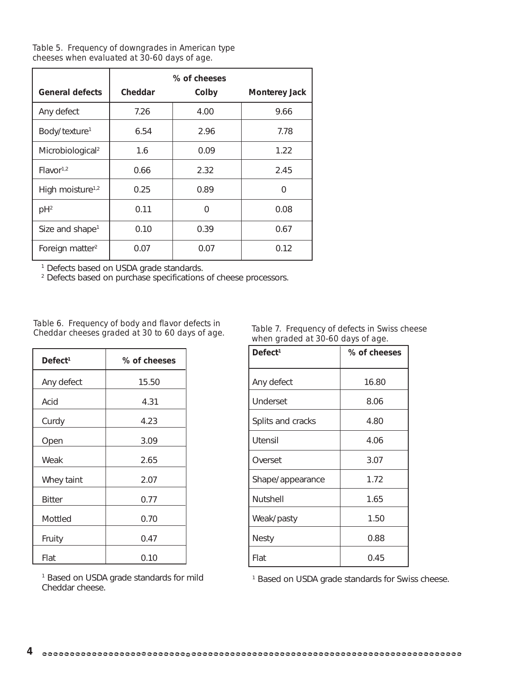*Table 5. Frequency of downgrades in American type cheeses when evaluated at 30-60 days of age.*

|                              | % of cheeses |          |                      |
|------------------------------|--------------|----------|----------------------|
| <b>General defects</b>       | Cheddar      | Colby    | <b>Monterey Jack</b> |
| Any defect                   | 7.26         | 4.00     | 9.66                 |
| Body/texture <sup>1</sup>    | 6.54         | 2.96     | 7.78                 |
| Microbiological <sup>2</sup> | 1.6          | 0.09     | 1.22                 |
| Flavor <sup>1,2</sup>        | 0.66         | 2.32     | 2.45                 |
| High moisture <sup>1,2</sup> | 0.25         | 0.89     | 0                    |
| $pH^2$                       | 0.11         | $\Omega$ | 0.08                 |
| Size and shape <sup>1</sup>  | 0.10         | 0.39     | 0.67                 |
| Foreign matter <sup>2</sup>  | 0.07         | 0.07     | 0.12                 |

<sup>1</sup> Defects based on USDA grade standards.

2 Defects based on purchase specifications of cheese processors.

*Table 6. Frequency of body and flavor defects in Cheddar cheeses graded at 30 to 60 days of age.*

| Defect <sup>1</sup> | % of cheeses |
|---------------------|--------------|
| Any defect          | 15.50        |
| Acid                | 4.31         |
| Curdy               | 4.23         |
| Open                | 3.09         |
| Weak                | 2.65         |
| Whey taint          | 2.07         |
| <b>Bitter</b>       | 0.77         |
| Mottled             | 0.70         |
| Fruity              | 0.47         |
| Flat                | 0.10         |

*Table 7. Frequency of defects in Swiss cheese when graded at 30-60 days of age.*

| Defect <sup>1</sup> | % of cheeses |
|---------------------|--------------|
| Any defect          | 16.80        |
| <b>Underset</b>     | 8.06         |
| Splits and cracks   | 4.80         |
| <b>Utensil</b>      | 4.06         |
| Overset             | 3.07         |
| Shape/appearance    | 1.72         |
| <b>Nutshell</b>     | 1.65         |
| Weak/pasty          | 1.50         |
| <b>Nesty</b>        | 0.88         |
| Flat                | 0.45         |

<sup>1</sup> Based on USDA grade standards for mild Cheddar cheese.

<sup>1</sup> Based on USDA grade standards for Swiss cheese.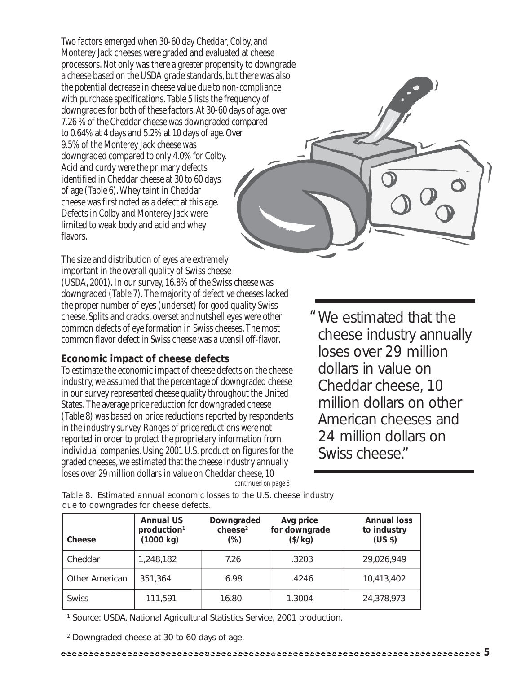Two factors emerged when 30-60 day Cheddar, Colby, and Monterey Jack cheeses were graded and evaluated at cheese processors. Not only was there a greater propensity to downgrade a cheese based on the USDA grade standards, but there was also the potential decrease in cheese value due to non-compliance with purchase specifications. Table 5 lists the frequency of downgrades for both of these factors. At 30-60 days of age, over 7.26 % of the Cheddar cheese was downgraded compared to 0.64% at 4 days and 5.2% at 10 days of age. Over 9.5% of the Monterey Jack cheese was downgraded compared to only 4.0% for Colby. Acid and curdy were the primary defects identified in Cheddar cheese at 30 to 60 days of age (Table 6). Whey taint in Cheddar cheese was first noted as a defect at this age. Defects in Colby and Monterey Jack were limited to weak body and acid and whey flavors.

The size and distribution of eyes are extremely important in the overall quality of Swiss cheese (USDA, 2001). In our survey, 16.8% of the Swiss cheese was downgraded (Table 7). The majority of defective cheeses lacked the proper number of eyes (underset) for good quality Swiss cheese. Splits and cracks, overset and nutshell eyes were other common defects of eye formation in Swiss cheeses. The most common flavor defect in Swiss cheese was a utensil off-flavor.

### **Economic impact of cheese defects**

To estimate the economic impact of cheese defects on the cheese industry, we assumed that the percentage of downgraded cheese in our survey represented cheese quality throughout the United States. The average price reduction for downgraded cheese (Table 8) was based on price reductions reported by respondents in the industry survey. Ranges of price reductions were not reported in order to protect the proprietary information from individual companies. Using 2001 U.S. production figures for the graded cheeses, we estimated that the cheese industry annually loses over 29 million dollars in value on Cheddar cheese, 10 *continued on page 6*

We estimated that the "cheese industry annually loses over 29 million dollars in value on Cheddar cheese, 10 million dollars on other American cheeses and 24 million dollars on Swiss cheese."

*Table 8. Estimated annual economic losses to the U.S. cheese industry due to downgrades for cheese defects.*

| <b>Cheese</b>         | <b>Annual US</b><br>production <sup>1</sup><br>(1000 kg) | Downgraded<br>cheese <sup>2</sup><br>(%) | Avg price<br>for downgrade<br>$(\frac{\sqrt{3}}{2})$ | <b>Annual loss</b><br>to industry<br>(US <sub>5</sub> ) |
|-----------------------|----------------------------------------------------------|------------------------------------------|------------------------------------------------------|---------------------------------------------------------|
| Cheddar               | 1,248,182                                                | 7.26                                     | .3203                                                | 29,026,949                                              |
| <b>Other American</b> | 351,364                                                  | 6.98                                     | .4246                                                | 10,413,402                                              |
| <b>Swiss</b>          | 111,591                                                  | 16.80                                    | 1.3004                                               | 24,378,973                                              |

<sup>1</sup> Source: USDA, National Agricultural Statistics Service, 2001 production.

2 Downgraded cheese at 30 to 60 days of age.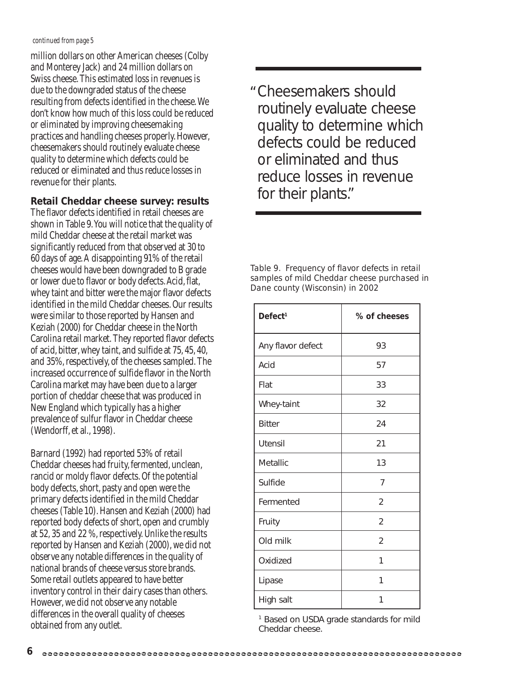#### *continued from page 5*

million dollars on other American cheeses (Colby and Monterey Jack) and 24 million dollars on Swiss cheese. This estimated loss in revenues is due to the downgraded status of the cheese resulting from defects identified in the cheese. We don't know how much of this loss could be reduced or eliminated by improving cheesemaking practices and handling cheeses properly. However, cheesemakers should routinely evaluate cheese quality to determine which defects could be reduced or eliminated and thus reduce losses in revenue for their plants.

### **Retail Cheddar cheese survey: results**

The flavor defects identified in retail cheeses are shown in Table 9. You will notice that the quality of mild Cheddar cheese at the retail market was significantly reduced from that observed at 30 to 60 days of age. A disappointing 91% of the retail cheeses would have been downgraded to B grade or lower due to flavor or body defects. Acid, flat, whey taint and bitter were the major flavor defects identified in the mild Cheddar cheeses. Our results were similar to those reported by Hansen and Keziah (2000) for Cheddar cheese in the North Carolina retail market. They reported flavor defects of acid, bitter, whey taint, and sulfide at 75, 45, 40, and 35%, respectively, of the cheeses sampled. The increased occurrence of sulfide flavor in the North Carolina market may have been due to a larger portion of cheddar cheese that was produced in New England which typically has a higher prevalence of sulfur flavor in Cheddar cheese (Wendorff, et al., 1998).

Barnard (1992) had reported 53% of retail Cheddar cheeses had fruity, fermented, unclean, rancid or moldy flavor defects. Of the potential body defects, short, pasty and open were the primary defects identified in the mild Cheddar cheeses (Table 10). Hansen and Keziah (2000) had reported body defects of short, open and crumbly at 52, 35 and 22 %, respectively. Unlike the results reported by Hansen and Keziah (2000), we did not observe any notable differences in the quality of national brands of cheese versus store brands. Some retail outlets appeared to have better inventory control in their dairy cases than others. However, we did not observe any notable differences in the overall quality of cheeses obtained from any outlet.

Cheesemakers should "routinely evaluate cheese quality to determine which defects could be reduced or eliminated and thus reduce losses in revenue for their plants."

*Table 9. Frequency of flavor defects in retail samples of mild Cheddar cheese purchased in Dane county (Wisconsin) in 2002*

| Defect <sup>1</sup> | % of cheeses   |
|---------------------|----------------|
| Any flavor defect   | 93             |
| Acid                | 57             |
| Flat                | 33             |
| Whey-taint          | 32             |
| <b>Bitter</b>       | 24             |
| <b>Utensil</b>      | 21             |
| Metallic            | 13             |
| Sulfide             | 7              |
| Fermented           | $\mathfrak{D}$ |
| Fruity              | $\overline{2}$ |
| Old milk            | 2              |
| Oxidized            | 1              |
| Lipase              | 1              |
| High salt           | 1              |

<sup>1</sup> Based on USDA grade standards for mild Cheddar cheese.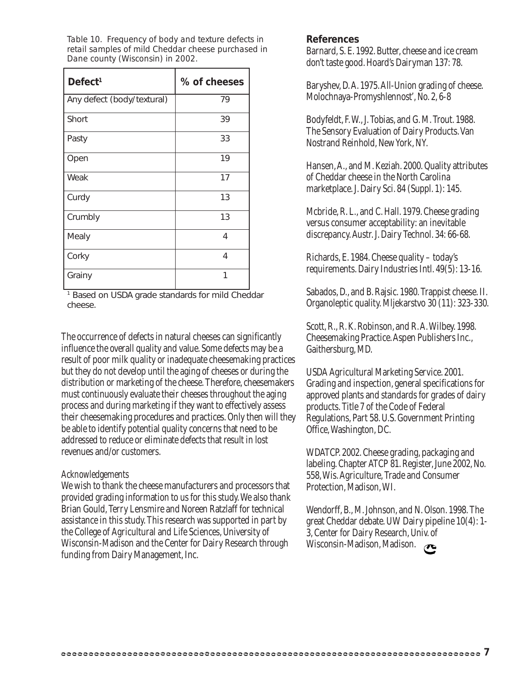*Table 10. Frequency of body and texture defects in retail samples of mild Cheddar cheese purchased in Dane county (Wisconsin) in 2002.*

| Defect <sup>1</sup>        | % of cheeses |
|----------------------------|--------------|
| Any defect (body/textural) | 79           |
| Short                      | 39           |
| Pasty                      | 33           |
| Open                       | 19           |
| Weak                       | 17           |
| Curdy                      | 13           |
| Crumbly                    | 13           |
| Mealy                      | 4            |
| Corky                      | 4            |
| Grainy                     | 1            |

<sup>1</sup> Based on USDA grade standards for mild Cheddar cheese.

The occurrence of defects in natural cheeses can significantly influence the overall quality and value. Some defects may be a result of poor milk quality or inadequate cheesemaking practices but they do not develop until the aging of cheeses or during the distribution or marketing of the cheese. Therefore, cheesemakers must continuously evaluate their cheeses throughout the aging process and during marketing if they want to effectively assess their cheesemaking procedures and practices. Only then will they be able to identify potential quality concerns that need to be addressed to reduce or eliminate defects that result in lost revenues and/or customers.

### *Acknowledgements*

We wish to thank the cheese manufacturers and processors that provided grading information to us for this study. We also thank Brian Gould, Terry Lensmire and Noreen Ratzlaff for technical assistance in this study. This research was supported in part by the College of Agricultural and Life Sciences, University of Wisconsin-Madison and the Center for Dairy Research through funding from Dairy Management, Inc.

### **References**

Barnard, S. E. 1992. Butter, cheese and ice cream don't taste good. Hoard's Dairyman 137: 78.

Baryshev, D. A. 1975. All-Union grading of cheese. Molochnaya-Promyshlennost', No. 2, 6-8

Bodyfeldt, F. W., J. Tobias, and G. M. Trout. 1988. The Sensory Evaluation of Dairy Products. Van Nostrand Reinhold, New York, NY.

Hansen, A., and M. Keziah. 2000. Quality attributes of Cheddar cheese in the North Carolina marketplace. J. Dairy Sci. 84 (Suppl. 1): 145.

Mcbride, R. L., and C. Hall. 1979. Cheese grading versus consumer acceptability: an inevitable discrepancy. Austr. J. Dairy Technol. 34: 66-68.

Richards, E. 1984. Cheese quality – today's requirements. Dairy Industries Intl. 49(5): 13-16.

Sabados, D., and B. Rajsic. 1980. Trappist cheese. II. Organoleptic quality. Mljekarstvo 30 (11): 323-330.

Scott, R., R. K. Robinson, and R. A. Wilbey. 1998. Cheesemaking Practice. Aspen Publishers Inc., Gaithersburg, MD.

USDA Agricultural Marketing Service. 2001. Grading and inspection, general specifications for approved plants and standards for grades of dairy products. Title 7 of the Code of Federal Regulations, Part 58. U.S. Government Printing Office, Washington, DC.

WDATCP. 2002. Cheese grading, packaging and labeling. Chapter ATCP 81. Register, June 2002, No. 558, Wis. Agriculture, Trade and Consumer Protection, Madison, WI.

Wendorff, B., M. Johnson, and N. Olson. 1998. The great Cheddar debate. UW Dairy pipeline 10(4): 1- 3, Center for Dairy Research, Univ. of Wisconsin-Madison, Madison.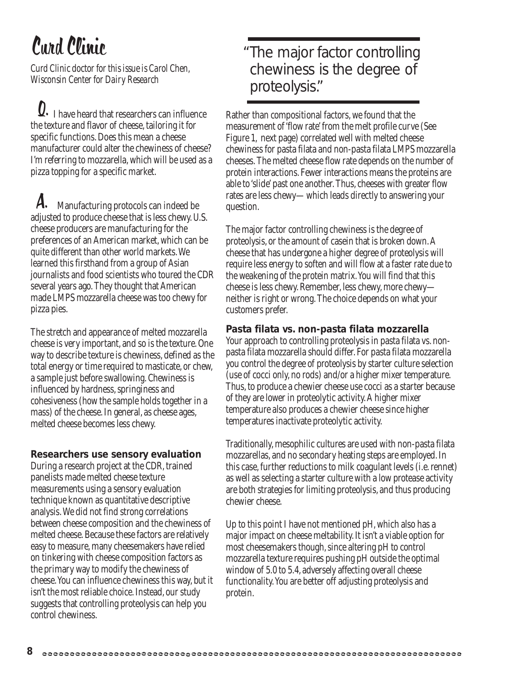## Curd Clinic

*Curd Clinic doctor for this issue is Carol Chen, Wisconsin Center for Dairy Research*

 $\Omega$ . I have heard that researchers can influence the texture and flavor of cheese, tailoring it for specific functions. Does this mean a cheese manufacturer could alter the chewiness of cheese? I'm referring to mozzarella, which will be used as a pizza topping for a specific market.

 Manufacturing protocols can indeed be adjusted to produce cheese that is less chewy. U.S. cheese producers are manufacturing for the preferences of an American market, which can be quite different than other world markets. We learned this firsthand from a group of Asian journalists and food scientists who toured the CDR several years ago. They thought that American made LMPS mozzarella cheese was too chewy for pizza pies. A.

The stretch and appearance of melted mozzarella cheese is very important, and so is the texture. One way to describe texture is chewiness, defined as the total energy or time required to masticate, or chew, a sample just before swallowing. Chewiness is influenced by hardness, springiness and cohesiveness (how the sample holds together in a mass) of the cheese. In general, as cheese ages, melted cheese becomes less chewy.

### **Researchers use sensory evaluation**

During a research project at the CDR, trained panelists made melted cheese texture measurements using a sensory evaluation technique known as quantitative descriptive analysis. We did not find strong correlations between cheese composition and the chewiness of melted cheese. Because these factors are relatively easy to measure, many cheesemakers have relied on tinkering with cheese composition factors as the primary way to modify the chewiness of cheese. You can influence chewiness this way, but it isn't the most reliable choice. Instead, our study suggests that controlling proteolysis can help you control chewiness.

### The major factor controlling "chewiness is the degree of proteolysis."

Rather than compositional factors, we found that the measurement of 'flow rate' from the melt profile curve (See Figure 1, next page) correlated well with melted cheese chewiness for pasta filata and non-pasta filata LMPS mozzarella cheeses. The melted cheese flow rate depends on the number of protein interactions. Fewer interactions means the proteins are able to 'slide' past one another. Thus, cheeses with greater flow rates are less chewy—which leads directly to answering your question.

The major factor controlling chewiness is the degree of proteolysis, or the amount of casein that is broken down. A cheese that has undergone a higher degree of proteolysis will require less energy to soften and will flow at a faster rate due to the weakening of the protein matrix. You will find that this cheese is less chewy. Remember, less chewy, more chewy neither is right or wrong. The choice depends on what your customers prefer.

### **Pasta filata vs. non-pasta filata mozzarella**

Your approach to controlling proteolysis in pasta filata vs. nonpasta filata mozzarella should differ. For pasta filata mozzarella you control the degree of proteolysis by starter culture selection (use of cocci only, no rods) and/or a higher mixer temperature. Thus, to produce a chewier cheese use cocci as a starter because of they are lower in proteolytic activity. A higher mixer temperature also produces a chewier cheese since higher temperatures inactivate proteolytic activity.

Traditionally, mesophilic cultures are used with non-pasta filata mozzarellas, and no secondary heating steps are employed. In this case, further reductions to milk coagulant levels (i.e. rennet) as well as selecting a starter culture with a low protease activity are both strategies for limiting proteolysis, and thus producing chewier cheese.

Up to this point I have not mentioned pH, which also has a major impact on cheese meltability. It isn't a viable option for most cheesemakers though, since altering pH to control mozzarella texture requires pushing pH outside the optimal window of 5.0 to 5.4, adversely affecting overall cheese functionality. You are better off adjusting proteolysis and protein.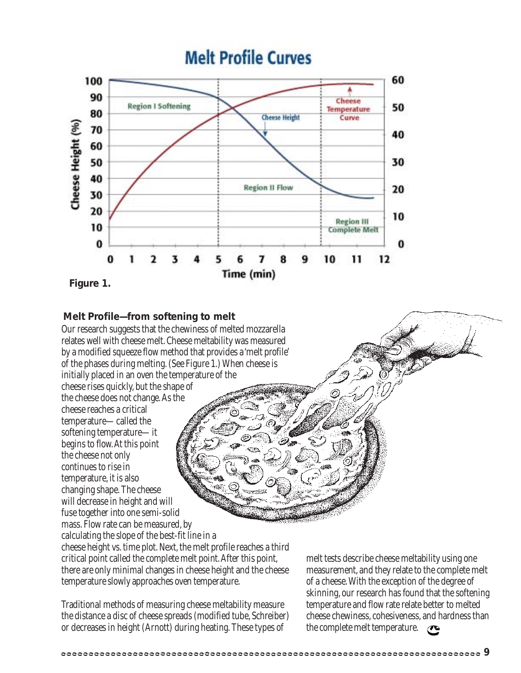

### **Melt Profile—from softening to melt**

Our research suggests that the chewiness of melted mozzarella relates well with cheese melt. Cheese meltability was measured by a modified squeeze flow method that provides a 'melt profile' of the phases during melting. (See Figure 1.) When cheese is initially placed in an oven the temperature of the

cheese rises quickly, but the shape of the cheese does not change. As the cheese reaches a critical temperature—called the softening temperature—it begins to flow. At this point the cheese not only continues to rise in temperature, it is also changing shape. The cheese will decrease in height and will fuse together into one semi-solid mass. Flow rate can be measured, by calculating the slope of the best-fit line in a cheese height vs. time plot. Next, the melt profile reaches a third critical point called the complete melt point. After this point, there are only minimal changes in cheese height and the cheese

temperature slowly approaches oven temperature. Traditional methods of measuring cheese meltability measure

the distance a disc of cheese spreads (modified tube, Schreiber) or decreases in height (Arnott) during heating. These types of

melt tests describe cheese meltability using one measurement, and they relate to the complete melt of a cheese. With the exception of the degree of skinning, our research has found that the softening temperature and flow rate relate better to melted cheese chewiness, cohesiveness, and hardness than the complete melt temperature.  $\sigma$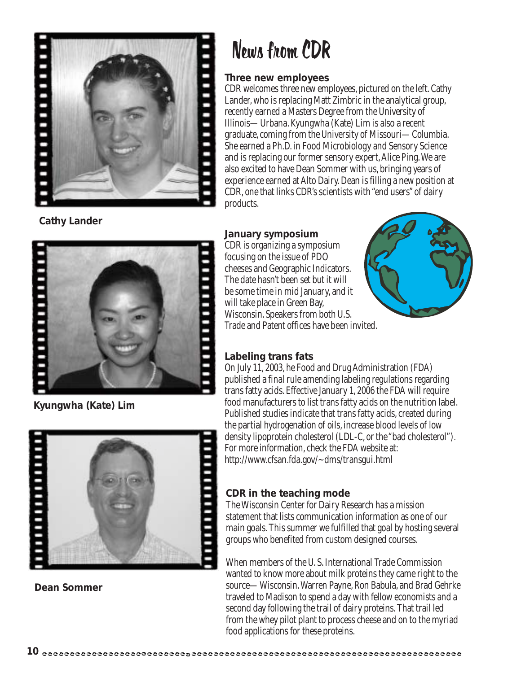

**Cathy Lander**



**Kyungwha (Kate) Lim**



**Dean Sommer**

## News from CDR

### **Three new employees**

CDR welcomes three new employees, pictured on the left. Cathy Lander, who is replacing Matt Zimbric in the analytical group, recently earned a Masters Degree from the University of Illinois—Urbana. Kyungwha (Kate) Lim is also a recent graduate, coming from the University of Missouri—Columbia. She earned a Ph.D. in Food Microbiology and Sensory Science and is replacing our former sensory expert, Alice Ping. We are also excited to have Dean Sommer with us, bringing years of experience earned at Alto Dairy. Dean is filling a new position at CDR, one that links CDR's scientists with "end users" of dairy products.

### **January symposium**

CDR is organizing a symposium focusing on the issue of PDO cheeses and Geographic Indicators. The date hasn't been set but it will be some time in mid January, and it will take place in Green Bay, Wisconsin. Speakers from both U.S. Trade and Patent offices have been invited.



### **Labeling trans fats**

On July 11, 2003, he Food and Drug Administration (FDA) published a final rule amending labeling regulations regarding trans fatty acids. Effective January 1, 2006 the FDA will require food manufacturers to list trans fatty acids on the nutrition label. Published studies indicate that trans fatty acids, created during the partial hydrogenation of oils, increase blood levels of low density lipoprotein cholesterol (LDL-C, or the "bad cholesterol"). For more information, check the FDA website at: http://www.cfsan.fda.gov/~dms/transgui.html

### **CDR in the teaching mode**

The Wisconsin Center for Dairy Research has a mission statement that lists communication information as one of our main goals. This summer we fulfilled that goal by hosting several groups who benefited from custom designed courses.

When members of the U. S. International Trade Commission wanted to know more about milk proteins they came right to the source—Wisconsin. Warren Payne, Ron Babula, and Brad Gehrke traveled to Madison to spend a day with fellow economists and a second day following the trail of dairy proteins. That trail led from the whey pilot plant to process cheese and on to the myriad food applications for these proteins.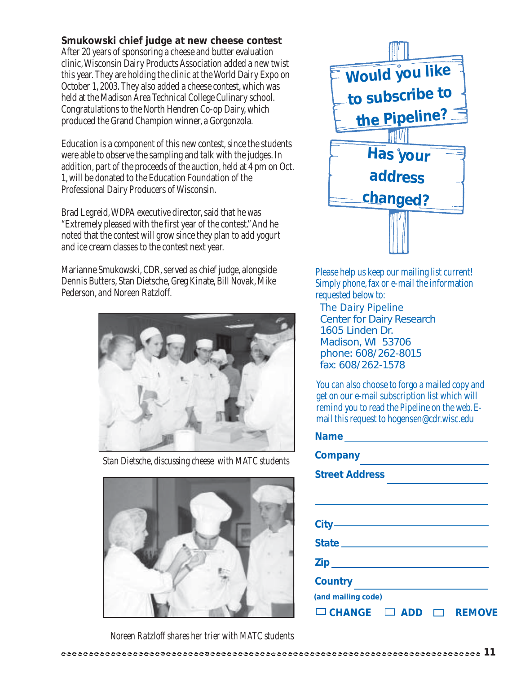### **Smukowski chief judge at new cheese contest**

After 20 years of sponsoring a cheese and butter evaluation clinic, Wisconsin Dairy Products Association added a new twist this year. They are holding the clinic at the World Dairy Expo on October 1, 2003. They also added a cheese contest, which was held at the Madison Area Technical College Culinary school. Congratulations to the North Hendren Co-op Dairy, which produced the Grand Champion winner, a Gorgonzola.

Education is a component of this new contest, since the students were able to observe the sampling and talk with the judges. In addition, part of the proceeds of the auction, held at 4 pm on Oct. 1, will be donated to the Education Foundation of the Professional Dairy Producers of Wisconsin.

Brad Legreid, WDPA executive director, said that he was "Extremely pleased with the first year of the contest." And he noted that the contest will grow since they plan to add yogurt and ice cream classes to the contest next year.

Marianne Smukowski, CDR, served as chief judge, alongside Dennis Butters, Stan Dietsche, Greg Kinate, Bill Novak, Mike Pederson, and Noreen Ratzloff.



*Stan Dietsche, discussing cheese with MATC students*





Please help us keep our mailing list current! Simply phone, fax or e-mail the information requested below to:

*The Dairy Pipeline* Center for Dairy Research 1605 Linden Dr. Madison, WI 53706 phone: 608/262-8015 fax: 608/262-1578

You can also choose to forgo a mailed copy and get on our e-mail subscription list which will remind you to read the Pipeline on the web. Email this request to hogensen@cdr.wisc.edu

*Noreen Ratzloff shares her trier with MATC students*